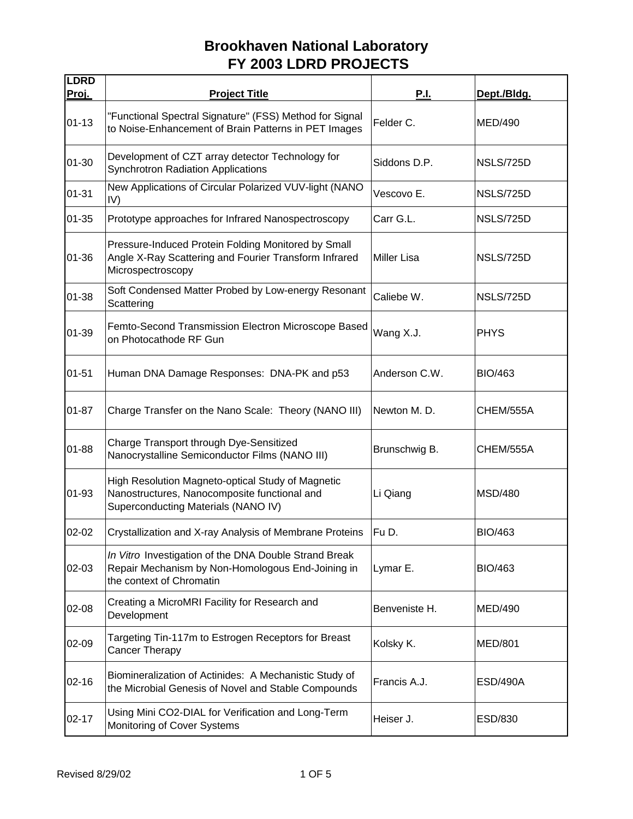| <b>LDRD</b><br>Proj. | <b>Project Title</b>                                                                                                                     | <u>P.I.</u>        | Dept./Bldg.      |
|----------------------|------------------------------------------------------------------------------------------------------------------------------------------|--------------------|------------------|
| $01 - 13$            | "Functional Spectral Signature" (FSS) Method for Signal<br>to Noise-Enhancement of Brain Patterns in PET Images                          | Felder C.          | <b>MED/490</b>   |
| $01 - 30$            | Development of CZT array detector Technology for<br><b>Synchrotron Radiation Applications</b>                                            | Siddons D.P.       | <b>NSLS/725D</b> |
| $01 - 31$            | New Applications of Circular Polarized VUV-light (NANO<br>IV)                                                                            | Vescovo E.         | NSLS/725D        |
| $01 - 35$            | Prototype approaches for Infrared Nanospectroscopy                                                                                       | Carr G.L.          | NSLS/725D        |
| 01-36                | Pressure-Induced Protein Folding Monitored by Small<br>Angle X-Ray Scattering and Fourier Transform Infrared<br>Microspectroscopy        | <b>Miller Lisa</b> | <b>NSLS/725D</b> |
| 01-38                | Soft Condensed Matter Probed by Low-energy Resonant<br>Scattering                                                                        | Caliebe W.         | <b>NSLS/725D</b> |
| 01-39                | Femto-Second Transmission Electron Microscope Based<br>on Photocathode RF Gun                                                            | Wang X.J.          | <b>PHYS</b>      |
| $01 - 51$            | Human DNA Damage Responses: DNA-PK and p53                                                                                               | Anderson C.W.      | <b>BIO/463</b>   |
| 01-87                | Charge Transfer on the Nano Scale: Theory (NANO III)                                                                                     | Newton M.D.        | CHEM/555A        |
| $01 - 88$            | Charge Transport through Dye-Sensitized<br>Nanocrystalline Semiconductor Films (NANO III)                                                | Brunschwig B.      | CHEM/555A        |
| 01-93                | High Resolution Magneto-optical Study of Magnetic<br>Nanostructures, Nanocomposite functional and<br>Superconducting Materials (NANO IV) | Li Qiang           | <b>MSD/480</b>   |
| $02 - 02$            | Crystallization and X-ray Analysis of Membrane Proteins                                                                                  | Fu D.              | <b>BIO/463</b>   |
| 02-03                | In Vitro Investigation of the DNA Double Strand Break<br>Repair Mechanism by Non-Homologous End-Joining in<br>the context of Chromatin   | Lymar E.           | <b>BIO/463</b>   |
| 02-08                | Creating a MicroMRI Facility for Research and<br>Development                                                                             | Benveniste H.      | <b>MED/490</b>   |
| 02-09                | Targeting Tin-117m to Estrogen Receptors for Breast<br>Cancer Therapy                                                                    | Kolsky K.          | <b>MED/801</b>   |
| $02 - 16$            | Biomineralization of Actinides: A Mechanistic Study of<br>the Microbial Genesis of Novel and Stable Compounds                            | Francis A.J.       | <b>ESD/490A</b>  |
| $02 - 17$            | Using Mini CO2-DIAL for Verification and Long-Term<br>Monitoring of Cover Systems                                                        | Heiser J.          | ESD/830          |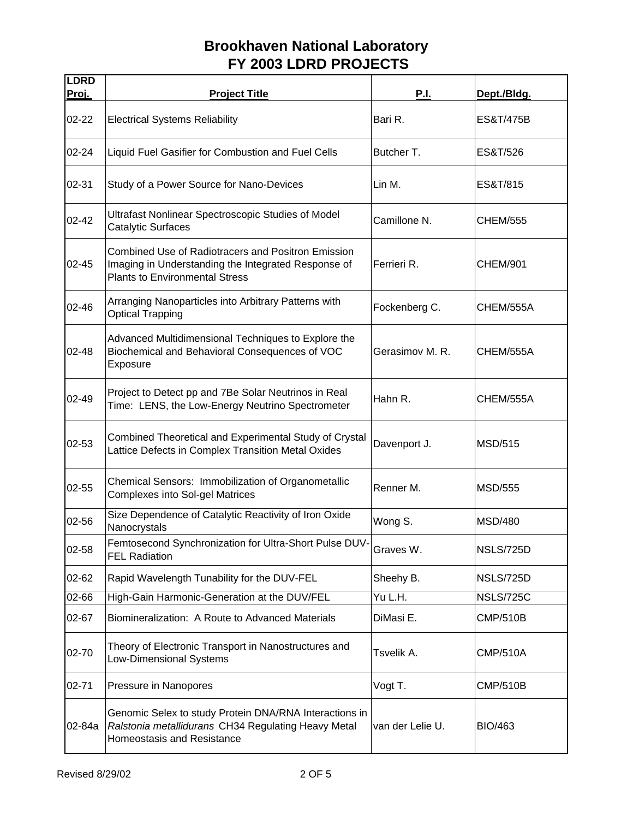| <b>LDRD</b><br><u>Proj.</u> | <b>Project Title</b>                                                                                                                                      | <u>P.I.</u>      | Dept./Bldg.      |
|-----------------------------|-----------------------------------------------------------------------------------------------------------------------------------------------------------|------------------|------------------|
| $02 - 22$                   | <b>Electrical Systems Reliability</b>                                                                                                                     | Bari R.          | ES&T/475B        |
| $02 - 24$                   | Liquid Fuel Gasifier for Combustion and Fuel Cells                                                                                                        | Butcher T.       | ES&T/526         |
| 02-31                       | Study of a Power Source for Nano-Devices                                                                                                                  | Lin M.           | ES&T/815         |
| $02 - 42$                   | Ultrafast Nonlinear Spectroscopic Studies of Model<br><b>Catalytic Surfaces</b>                                                                           | Camillone N.     | <b>CHEM/555</b>  |
| $02 - 45$                   | <b>Combined Use of Radiotracers and Positron Emission</b><br>Imaging in Understanding the Integrated Response of<br><b>Plants to Environmental Stress</b> | Ferrieri R.      | <b>CHEM/901</b>  |
| 02-46                       | Arranging Nanoparticles into Arbitrary Patterns with<br><b>Optical Trapping</b>                                                                           | Fockenberg C.    | CHEM/555A        |
| 02-48                       | Advanced Multidimensional Techniques to Explore the<br>Biochemical and Behavioral Consequences of VOC<br>Exposure                                         | Gerasimov M. R.  | CHEM/555A        |
| $02 - 49$                   | Project to Detect pp and 7Be Solar Neutrinos in Real<br>Time: LENS, the Low-Energy Neutrino Spectrometer                                                  | Hahn R.          | CHEM/555A        |
| 02-53                       | Combined Theoretical and Experimental Study of Crystal<br>Lattice Defects in Complex Transition Metal Oxides                                              | Davenport J.     | <b>MSD/515</b>   |
| $02 - 55$                   | Chemical Sensors: Immobilization of Organometallic<br><b>Complexes into Sol-gel Matrices</b>                                                              | Renner M.        | <b>MSD/555</b>   |
| 02-56                       | Size Dependence of Catalytic Reactivity of Iron Oxide<br>Nanocrystals                                                                                     | Wong S.          | <b>MSD/480</b>   |
| 02-58                       | Femtosecond Synchronization for Ultra-Short Pulse DUV-<br><b>FEL Radiation</b>                                                                            | Graves W.        | <b>NSLS/725D</b> |
| 02-62                       | Rapid Wavelength Tunability for the DUV-FEL                                                                                                               | Sheehy B.        | <b>NSLS/725D</b> |
| 02-66                       | High-Gain Harmonic-Generation at the DUV/FEL                                                                                                              | Yu L.H.          | <b>NSLS/725C</b> |
| 02-67                       | Biomineralization: A Route to Advanced Materials                                                                                                          | DiMasi E.        | <b>CMP/510B</b>  |
| 02-70                       | Theory of Electronic Transport in Nanostructures and<br><b>Low-Dimensional Systems</b>                                                                    | Tsvelik A.       | <b>CMP/510A</b>  |
| $02 - 71$                   | Pressure in Nanopores                                                                                                                                     | Vogt T.          | CMP/510B         |
| 02-84a                      | Genomic Selex to study Protein DNA/RNA Interactions in<br>Ralstonia metallidurans CH34 Regulating Heavy Metal<br>Homeostasis and Resistance               | van der Lelie U. | <b>BIO/463</b>   |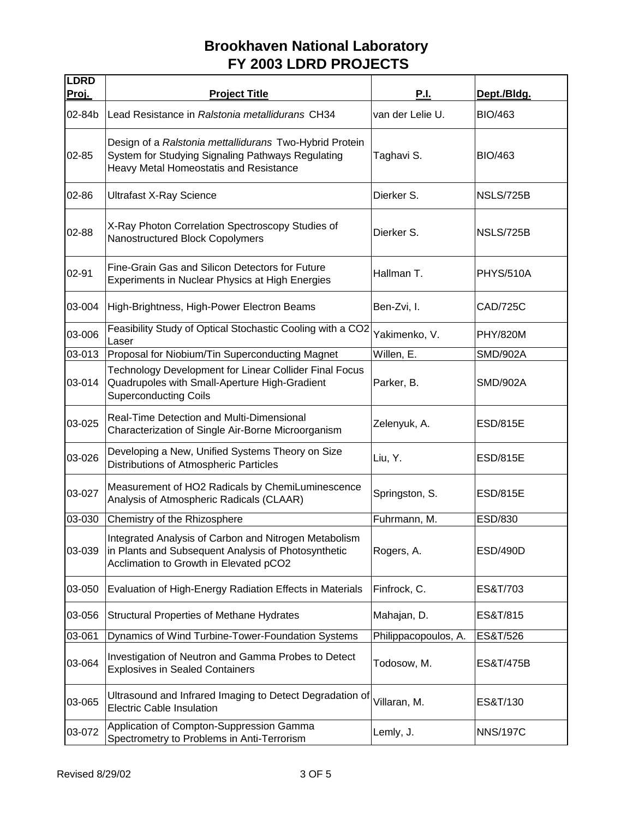| <b>LDRD</b><br>Proj. | <b>Project Title</b>                                                                                                                                   | P.I.                 | Dept./Bldg.      |
|----------------------|--------------------------------------------------------------------------------------------------------------------------------------------------------|----------------------|------------------|
| 02-84b               | Lead Resistance in Ralstonia metallidurans CH34                                                                                                        | van der Lelie U.     | <b>BIO/463</b>   |
| 02-85                | Design of a Ralstonia mettallidurans Two-Hybrid Protein<br>System for Studying Signaling Pathways Regulating<br>Heavy Metal Homeostatis and Resistance | Taghavi S.           | <b>BIO/463</b>   |
| 02-86                | <b>Ultrafast X-Ray Science</b>                                                                                                                         | Dierker S.           | NSLS/725B        |
| 02-88                | X-Ray Photon Correlation Spectroscopy Studies of<br>Nanostructured Block Copolymers                                                                    | Dierker S.           | NSLS/725B        |
| 02-91                | Fine-Grain Gas and Silicon Detectors for Future<br>Experiments in Nuclear Physics at High Energies                                                     | Hallman T.           | <b>PHYS/510A</b> |
| 03-004               | High-Brightness, High-Power Electron Beams                                                                                                             | Ben-Zvi, I.          | <b>CAD/725C</b>  |
| 03-006               | Feasibility Study of Optical Stochastic Cooling with a CO2<br>Laser                                                                                    | Yakimenko, V.        | <b>PHY/820M</b>  |
| 03-013               | Proposal for Niobium/Tin Superconducting Magnet                                                                                                        | Willen, E.           | <b>SMD/902A</b>  |
| 03-014               | Technology Development for Linear Collider Final Focus<br>Quadrupoles with Small-Aperture High-Gradient<br><b>Superconducting Coils</b>                | Parker, B.           | SMD/902A         |
| 03-025               | Real-Time Detection and Multi-Dimensional<br>Characterization of Single Air-Borne Microorganism                                                        | Zelenyuk, A.         | <b>ESD/815E</b>  |
| 03-026               | Developing a New, Unified Systems Theory on Size<br>Distributions of Atmospheric Particles                                                             | Liu, Y.              | <b>ESD/815E</b>  |
| 03-027               | Measurement of HO2 Radicals by ChemiLuminescence<br>Analysis of Atmospheric Radicals (CLAAR)                                                           | Springston, S.       | <b>ESD/815E</b>  |
| 03-030               | Chemistry of the Rhizosphere                                                                                                                           | Fuhrmann, M.         | ESD/830          |
| 03-039               | Integrated Analysis of Carbon and Nitrogen Metabolism<br>in Plants and Subsequent Analysis of Photosynthetic<br>Acclimation to Growth in Elevated pCO2 | Rogers, A.           | <b>ESD/490D</b>  |
| 03-050               | Evaluation of High-Energy Radiation Effects in Materials                                                                                               | Finfrock, C.         | ES&T/703         |
| 03-056               | <b>Structural Properties of Methane Hydrates</b>                                                                                                       | Mahajan, D.          | ES&T/815         |
| 03-061               | Dynamics of Wind Turbine-Tower-Foundation Systems                                                                                                      | Philippacopoulos, A. | ES&T/526         |
| 03-064               | Investigation of Neutron and Gamma Probes to Detect<br><b>Explosives in Sealed Containers</b>                                                          | Todosow, M.          | ES&T/475B        |
| 03-065               | Ultrasound and Infrared Imaging to Detect Degradation of<br><b>Electric Cable Insulation</b>                                                           | Villaran, M.         | ES&T/130         |
| 03-072               | Application of Compton-Suppression Gamma<br>Spectrometry to Problems in Anti-Terrorism                                                                 | Lemly, J.            | <b>NNS/197C</b>  |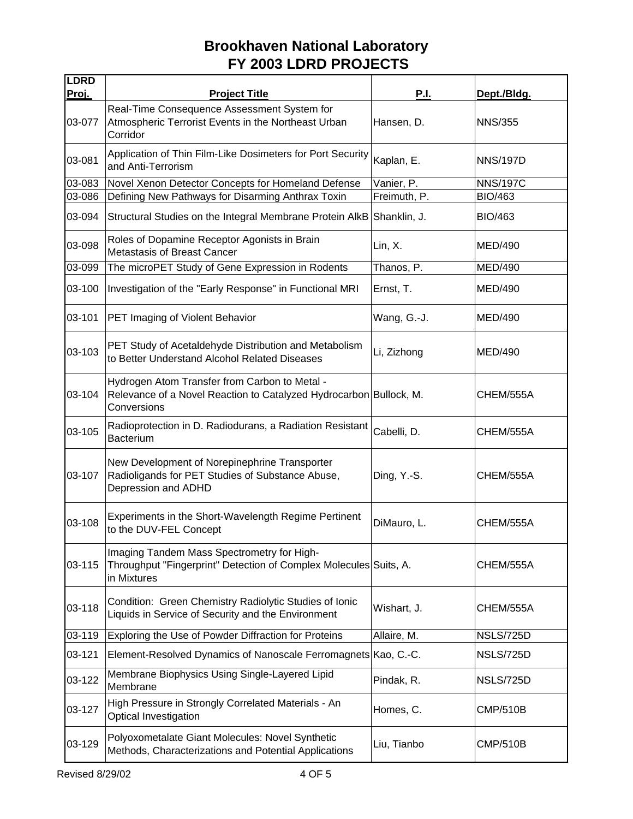| <b>LDRD</b>  |                                                                                                                                    |              |                  |
|--------------|------------------------------------------------------------------------------------------------------------------------------------|--------------|------------------|
| <u>Proj.</u> | <b>Project Title</b><br>Real-Time Consequence Assessment System for                                                                | <b>P.I.</b>  | Dept./Bldg.      |
| 03-077       | Atmospheric Terrorist Events in the Northeast Urban<br>Corridor                                                                    | Hansen, D.   | <b>NNS/355</b>   |
| 03-081       | Application of Thin Film-Like Dosimeters for Port Security<br>and Anti-Terrorism                                                   | Kaplan, E.   | <b>NNS/197D</b>  |
| 03-083       | Novel Xenon Detector Concepts for Homeland Defense                                                                                 | Vanier, P.   | <b>NNS/197C</b>  |
| 03-086       | Defining New Pathways for Disarming Anthrax Toxin                                                                                  | Freimuth, P. | <b>BIO/463</b>   |
| 03-094       | Structural Studies on the Integral Membrane Protein AlkB                                                                           | Shanklin, J. | <b>BIO/463</b>   |
| 03-098       | Roles of Dopamine Receptor Agonists in Brain<br><b>Metastasis of Breast Cancer</b>                                                 | Lin, X.      | MED/490          |
| 03-099       | The microPET Study of Gene Expression in Rodents                                                                                   | Thanos, P.   | <b>MED/490</b>   |
| 03-100       | Investigation of the "Early Response" in Functional MRI                                                                            | Ernst, T.    | <b>MED/490</b>   |
| 03-101       | PET Imaging of Violent Behavior                                                                                                    | Wang, G.-J.  | <b>MED/490</b>   |
| 03-103       | PET Study of Acetaldehyde Distribution and Metabolism<br>to Better Understand Alcohol Related Diseases                             | Li, Zizhong  | <b>MED/490</b>   |
| 03-104       | Hydrogen Atom Transfer from Carbon to Metal -<br>Relevance of a Novel Reaction to Catalyzed Hydrocarbon Bullock, M.<br>Conversions |              | CHEM/555A        |
| 03-105       | Radioprotection in D. Radiodurans, a Radiation Resistant<br><b>Bacterium</b>                                                       | Cabelli, D.  | CHEM/555A        |
| 03-107       | New Development of Norepinephrine Transporter<br>Radioligands for PET Studies of Substance Abuse,<br>Depression and ADHD           | Ding, Y.-S.  | CHEM/555A        |
| 03-108       | Experiments in the Short-Wavelength Regime Pertinent<br>to the DUV-FEL Concept                                                     | DiMauro, L.  | CHEM/555A        |
| 03-115       | Imaging Tandem Mass Spectrometry for High-<br>Throughput "Fingerprint" Detection of Complex Molecules Suits, A.<br>in Mixtures     |              | CHEM/555A        |
| 03-118       | Condition: Green Chemistry Radiolytic Studies of Ionic<br>Liquids in Service of Security and the Environment                       | Wishart, J.  | CHEM/555A        |
| 03-119       | Exploring the Use of Powder Diffraction for Proteins                                                                               | Allaire, M.  | NSLS/725D        |
| 03-121       | Element-Resolved Dynamics of Nanoscale Ferromagnets Kao, C.-C.                                                                     |              | <b>NSLS/725D</b> |
| 03-122       | Membrane Biophysics Using Single-Layered Lipid<br>Membrane                                                                         | Pindak, R.   | <b>NSLS/725D</b> |
| 03-127       | High Pressure in Strongly Correlated Materials - An<br>Optical Investigation                                                       | Homes, C.    | <b>CMP/510B</b>  |
| 03-129       | Polyoxometalate Giant Molecules: Novel Synthetic<br>Methods, Characterizations and Potential Applications                          | Liu, Tianbo  | <b>CMP/510B</b>  |